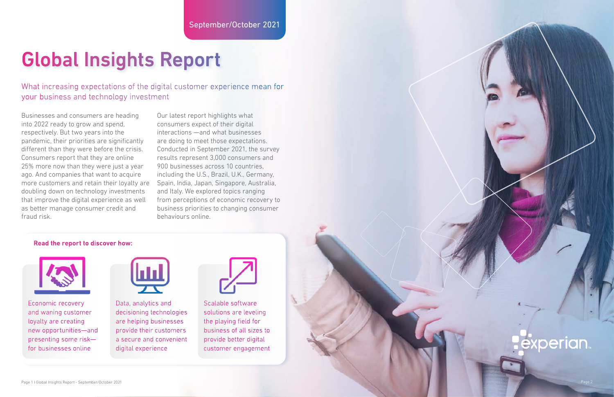## Global Insights Report

What increasing expectations of the digital customer experience mean for your business and technology investment

Businesses and consumers are heading into 2022 ready to grow and spend, respectively. But two years into the pandemic, their priorities are significantly different than they were before the crisis. Consumers report that they are online 25% more now than they were just a year ago. And companies that want to acquire more customers and retain their loyalty are doubling down on technology investments that improve the digital experience as well as better manage consumer credit and fraud risk.

Our latest report highlights what consumers expect of their digital interactions —and what businesses are doing to meet those expectations. Conducted in September 2021, the survey results represent 3,000 consumers and 900 businesses across 10 countries, including the U.S., Brazil, U.K., Germany, Spain, India, Japan, Singapore, Australia, and Italy. We explored topics ranging from perceptions of economic recovery to business priorities to changing consumer behaviours online.

## Read the report to discover how:



Economic recovery and waning customer loyalty are creating new opportunities—and presenting some risk for businesses online



Data, analytics and decisioning technologies are helping businesses provide their customers a secure and convenient digital experience



Scalable software solutions are leveling the playing field for business of all sizes to provide better digital customer engagement



## **perian**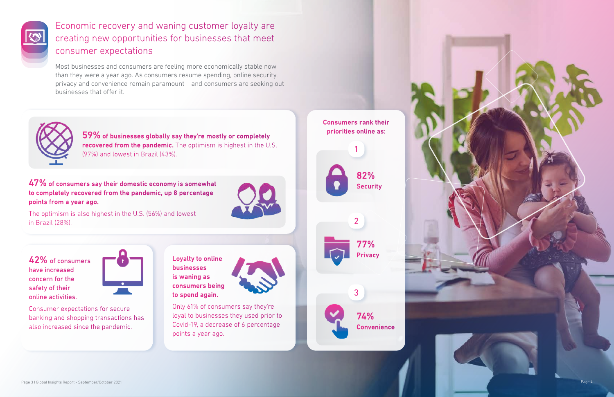



## Economic recovery and waning customer loyalty are creating new opportunities for businesses that meet consumer expectations

Most businesses and consumers are feeling more economically stable now than they were a year ago. As consumers resume spending, online security, privacy and convenience remain paramount – and consumers are seeking out businesses that offer it.



74% **Convenience** 

42% of consumers have increased concern for the safety of their online activities.

47% of consumers say their domestic economy is somewhat to completely recovered from the pandemic, up 8 percentage points from a year ago.



Consumer expectations for secure banking and shopping transactions has also increased since the pandemic.

Loyalty to online businesses is waning as consumers being to spend again.



Only 61% of consumers say they're loyal to businesses they used prior to Covid-19, a decrease of 6 percentage points a year ago.

Consumers rank their priorities online as:





2

3

The optimism is also highest in the U.S. (56%) and lowest in Brazil (28%).

59% of businesses globally say they're mostly or completely recovered from the pandemic. The optimism is highest in the U.S. (97%) and lowest in Brazil (43%).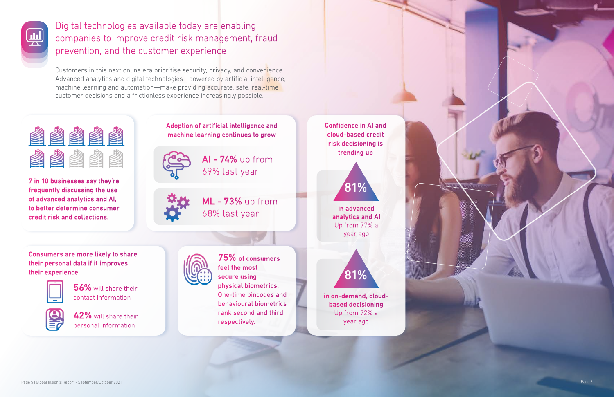



Digital technologies available today are enabling companies to improve credit risk management, fraud prevention, and the customer experience

Customers in this next online era prioritise security, privacy, and convenience. Advanced analytics and digital technologies—powered by artificial intelligence, machine learning and automation—make providing accurate, safe, real-time customer decisions and a frictionless experience increasingly possible.



56% will share their contact information



7 in 10 businesses say they're frequently discussing the use of advanced analytics and AI, to better determine consumer credit risk and collections.

Adoption of artificial intelligence and machine learning continues to grow



AI - 74% up from 69% last year



ML - 73% up from 68% last year

Confidence in AI and cloud-based credit risk decisioning is trending up

Consumers are more likely to share their personal data if it improves their experience



42% will share their personal information



75% of consumers feel the most secure using physical biometrics. One-time pincodes and behavioural biometrics rank second and third, respectively.

in on-demand, cloudbased decisioning Up from 72% a year ago





in advanced analytics and AI Up from 77% a year ago